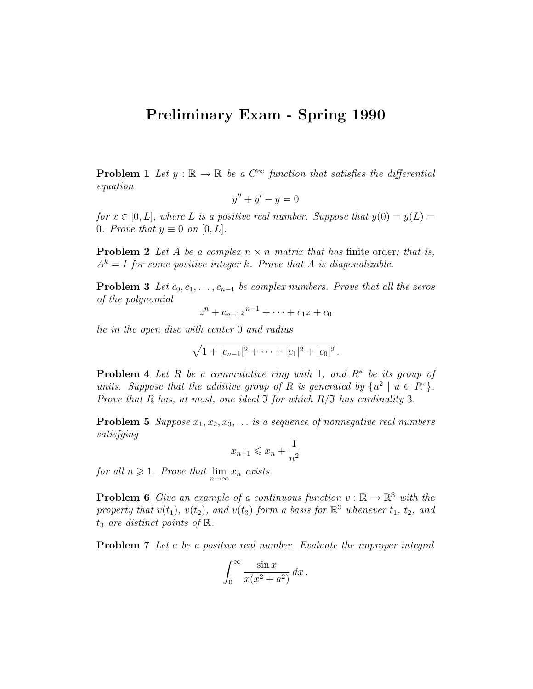## Preliminary Exam - Spring 1990

**Problem 1** Let  $y : \mathbb{R} \to \mathbb{R}$  be a  $C^{\infty}$  function that satisfies the differential equation

$$
y'' + y' - y = 0
$$

for  $x \in [0, L]$ , where L is a positive real number. Suppose that  $y(0) = y(L)$ 0. Prove that  $y \equiv 0$  on  $[0, L]$ .

**Problem 2** Let A be a complex  $n \times n$  matrix that has finite order; that is,  $A^k = I$  for some positive integer k. Prove that A is diagonalizable.

**Problem 3** Let  $c_0, c_1, \ldots, c_{n-1}$  be complex numbers. Prove that all the zeros of the polynomial

$$
z^{n} + c_{n-1}z^{n-1} + \cdots + c_{1}z + c_{0}
$$

lie in the open disc with center 0 and radius

$$
\sqrt{1+|c_{n-1}|^2+\cdots+|c_1|^2+|c_0|^2}.
$$

**Problem 4** Let R be a commutative ring with 1, and  $R^*$  be its group of units. Suppose that the additive group of R is generated by  $\{u^2 \mid u \in R^*\}.$ Prove that R has, at most, one ideal  $\Im$  for which  $R/\Im$  has cardinality 3.

**Problem 5** Suppose  $x_1, x_2, x_3, \ldots$  is a sequence of nonnegative real numbers satisfying

$$
x_{n+1} \leqslant x_n + \frac{1}{n^2}
$$

for all  $n \geqslant 1$ . Prove that  $\lim_{n \to \infty} x_n$  exists.

**Problem 6** Give an example of a continuous function  $v : \mathbb{R} \to \mathbb{R}^3$  with the property that  $v(t_1)$ ,  $v(t_2)$ , and  $v(t_3)$  form a basis for  $\mathbb{R}^3$  whenever  $t_1$ ,  $t_2$ , and  $t_3$  are distinct points of  $\mathbb{R}$ .

**Problem 7** Let a be a positive real number. Evaluate the improper integral

$$
\int_0^\infty \frac{\sin x}{x(x^2 + a^2)} dx.
$$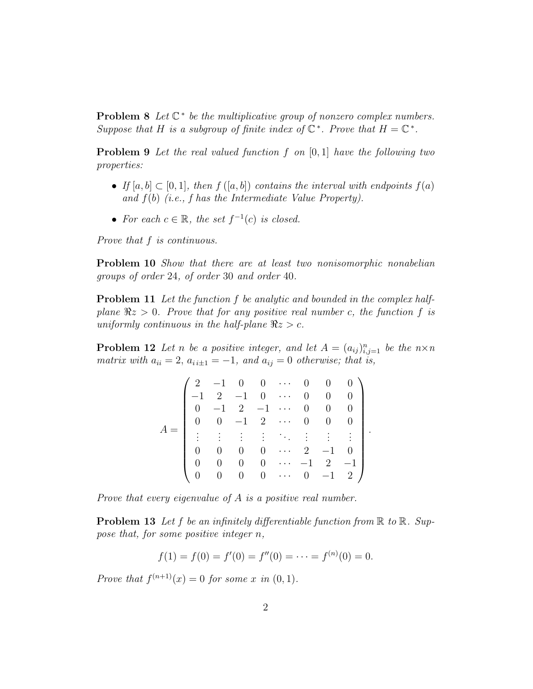**Problem 8** Let  $\mathbb{C}^*$  be the multiplicative group of nonzero complex numbers. Suppose that H is a subgroup of finite index of  $\mathbb{C}^*$ . Prove that  $H = \mathbb{C}^*$ .

**Problem 9** Let the real valued function  $f$  on  $[0,1]$  have the following two properties:

- If  $[a, b] \subset [0, 1]$ , then  $f([a, b])$  contains the interval with endpoints  $f(a)$ and  $f(b)$  (i.e., f has the Intermediate Value Property).
- For each  $c \in \mathbb{R}$ , the set  $f^{-1}(c)$  is closed.

Prove that f is continuous.

**Problem 10** Show that there are at least two nonisomorphic nonabelian groups of order 24, of order 30 and order 40.

**Problem 11** Let the function f be analytic and bounded in the complex halfplane  $\Re z > 0$ . Prove that for any positive real number c, the function f is uniformly continuous in the half-plane  $\Re z > c$ .

**Problem 12** Let n be a positive integer, and let  $A = (a_{ij})_{i,j=1}^n$  be the  $n \times n$ matrix with  $a_{ii} = 2$ ,  $a_{i\pm 1} = -1$ , and  $a_{ij} = 0$  otherwise; that is,

|  | 2        |                                         |             |                                                                              |          | $\overline{0}$ | $\overline{0}$ |                |                      |
|--|----------|-----------------------------------------|-------------|------------------------------------------------------------------------------|----------|----------------|----------------|----------------|----------------------|
|  |          |                                         |             | $\begin{array}{cccc} -1 & 0 & 0 & \cdots \\ 2 & -1 & 0 & \cdots \end{array}$ |          |                | $\overline{0}$ |                |                      |
|  | $\Omega$ | $-1$                                    | $2^{\circ}$ | $-1$                                                                         | .        |                |                | $\theta$       |                      |
|  | $\theta$ | $\overline{0}$                          | $-1$        | $2 \cdots$                                                                   |          |                | $\overline{0}$ |                |                      |
|  |          | $\mathcal{A}^{\text{max}}_{\text{max}}$ |             |                                                                              |          |                | 的复数生活性         |                | $\ddot{\phantom{0}}$ |
|  |          | $\boldsymbol{0}$                        | 0           | $\overline{0}$                                                               | .        |                | $-1$           |                |                      |
|  |          | 0                                       |             | $\overline{0}$                                                               | ٠        | 1              | $2\,$          |                |                      |
|  |          | 0                                       | 0           | $\overline{0}$                                                               | $\ldots$ | 0              | $-1$           | $\overline{2}$ |                      |

Prove that every eigenvalue of A is a positive real number.

**Problem 13** Let f be an infinitely differentiable function from  $\mathbb R$  to  $\mathbb R$ . Suppose that, for some positive integer  $n$ ,

$$
f(1) = f(0) = f'(0) = f''(0) = \dots = f^{(n)}(0) = 0.
$$

Prove that  $f^{(n+1)}(x) = 0$  for some x in  $(0, 1)$ .